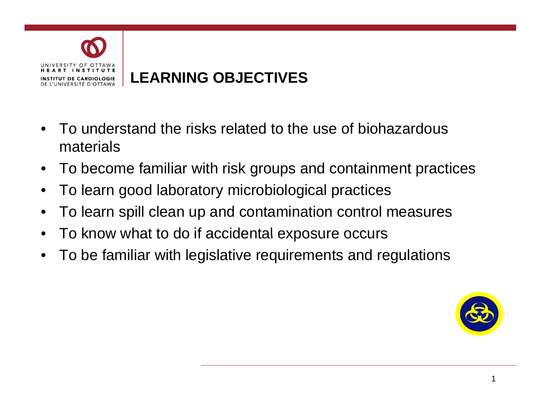

- To understand the risks related to the use of biohazardous materials
- To become familiar with risk groups and containment practices
- To learn good laboratory microbiological practices
- To learn spill clean up and contamination control measures
- To know what to do if accidental exposure occurs
- To be familiar with legislative requirements and regulations

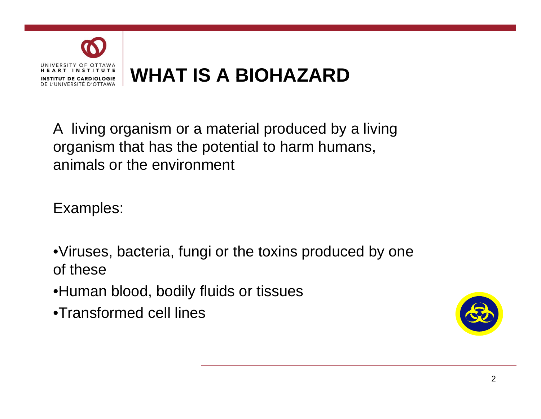

A living organism or a material produced by a living organism that has the potential to harm humans, animals or the environment

Examples:

- •Viruses, bacteria, fungi or the toxins produced by one of these
- $\bullet$ Human blood, bodily fluids or tissues
- •Transformed cell lines

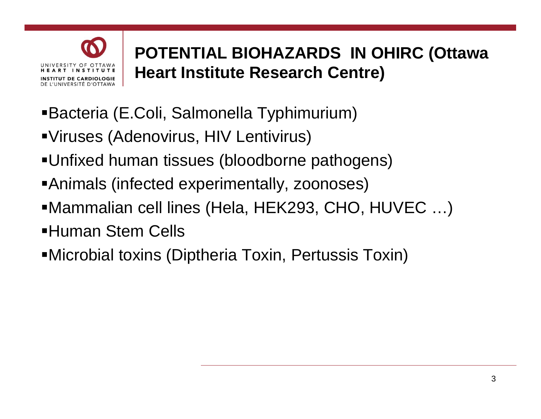

# **POTENTIAL BIOHAZARDS IN OHIRC (Ottawa Heart Institute Research Centre)**

- Bacteria (E.Coli, Salmonella Typhimurium)
- Viruses (Adenovirus, HIV Lentivirus)
- Unfixed human tissues (bloodborne pathogens)
- ■Animals (infected experimentally, zoonoses)
- Mammalian cell lines (Hela, HEK293, CHO, HUVEC …)
- Human Stem Cells
- Microbial toxins (Diptheria Toxin, Pertussis Toxin)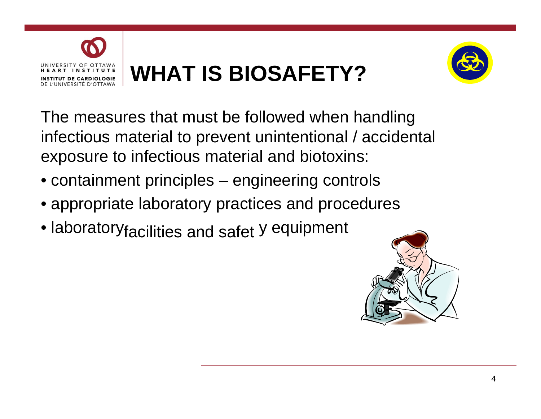



The measures that must be followed when handling infectious material to prevent unintentional / accidental exposure to infectious material and biotoxins:

- containment principles engineering controls
- appropriate laboratory practices and procedures
- laboratory<sub>facilities</sub> and safet y equipment

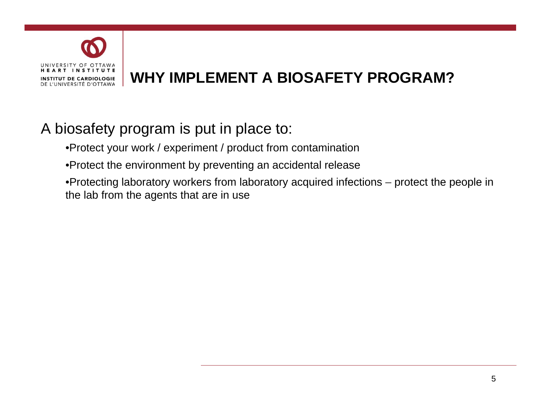

## **WHY IMPLEMENT A BIOSAFETY PROGRAM? PROGRAM?**

## A biosafety program is put in place to:

•Protect your work / experiment / product from contamination

•Protect the environment by preventing an accidental release

•Protecting laboratory workers from laboratory acquired infections – protect the people in the lab from the agents that are in use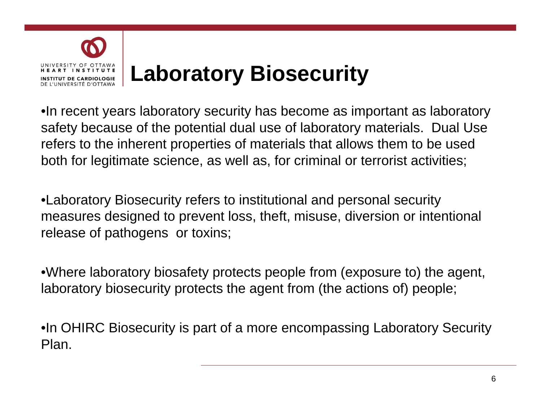

•In recent years laboratory security has become as important as laboratory safety because of the potential dual use of laboratory materials. Dual Use refers to the inherent properties of materials that allows them to be used both for legitimate science, as well as, for criminal or terrorist activities;

•Laboratory Biosecurity refers to institutional and personal security measures designed to prevent loss, theft, misuse, diversion or intentional release of pathogens or toxins;

•Where laboratory biosafety protects people from (exposure to) the agent, laboratory biosecurity protects the agent from (the actions of) people;

•In OHIRC Biosecurity is part of a more encompassing Laboratory Security Plan.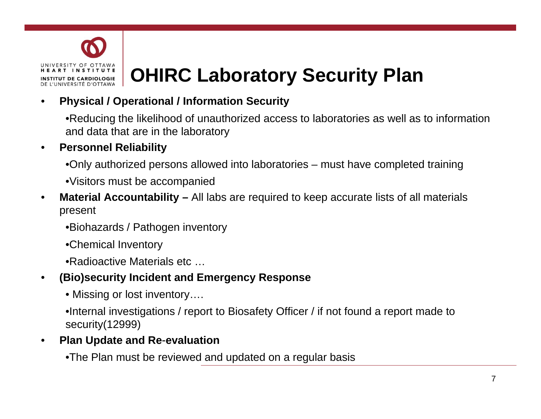

# **OHIRC Laboratory Security Plan**

#### • **Physical / Operational / Information Security**

•Reducing the likelihood of unauthorized access to laboratories as well as to information and data that are in the laboratory

#### • **Personnel Reliability**

- •Only authorized persons allowed into laboratories must have completed training
- $\bullet$ Visitors must be accompanied
- **Material Accountability** All labs are required to keep accurate lists of all materials present
	- •Biohazards / Pathogen inventory
	- •Chemical Inventory
	- •Radioactive Materials etc …

#### • **(Bio)security Incident and Emergency Response**

• Missing or lost inventory....

•Internal investigations / report to Biosafety Officer / if not found a report made to security(12999)

#### **Plan Update and Re-evaluation**

•The Plan must be reviewed and updated on a regular basis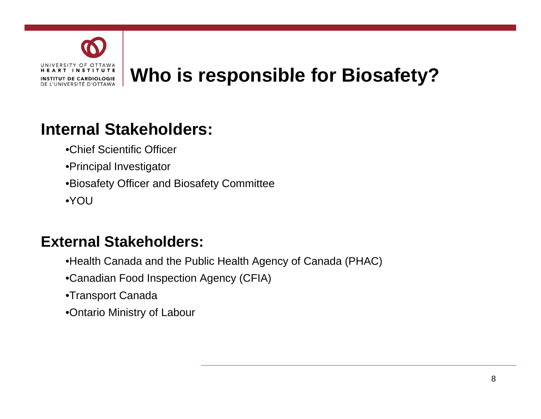

## **Internal Stakeholders:**

- •Chief Scientific Officer
- •Principal Investigator
- •Biosafety Officer and Biosafety Committee
- •YOU

#### **External Stakeholders:**

- •Health Canada and the Public Health Agency of Canada (PHAC)
- •Canadian Food Inspection Agency (CFIA)
- •Transport Canada
- •Ontario Ministry of Labour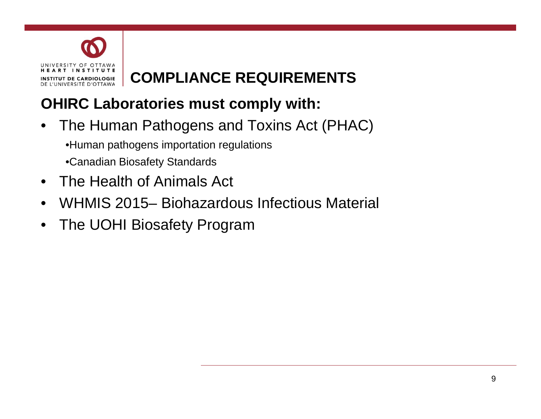

# **COMPLIANCE REQUIREMENTS REQUIREMENTS**

## **OHIRC Laboratories must comply with:**

- The Human Pathogens and Toxins Act (PHAC) •Human pathogens importation regulations •Canadian Biosafety Standards
- The Health of Animals Act
- WHMIS 2015– Biohazardous Infectious Material
- The UOHI Biosafety Program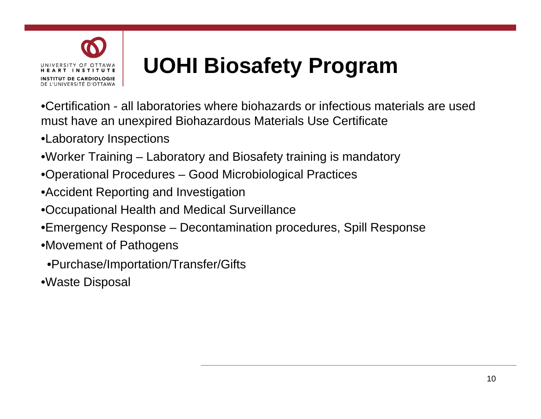

# **UOHI Biosafety Program**

•Certification - all laboratories where biohazards or infectious materials are used must have an unexpired Biohazardous Materials Use Certificate

- •Laboratory Inspections
- •Worker Training Laboratory and Biosafety training is mandatory
- •Operational Procedures Good Microbiological Practices
- •Accident Reporting and Investigation
- •Occupational Health and Medical Surveillance
- •Emergency Response Decontamination procedures, Spill Response
- •Movement of Pathogens
	- •Purchase/Importation/Transfer/Gifts
- •Waste Disposal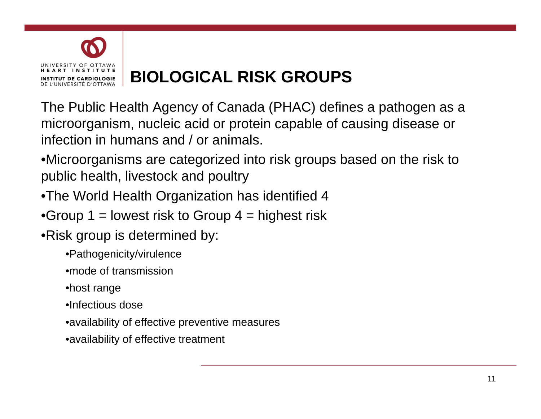

# **BIOLOGICAL RISK GROUPS GROUPS**

The Public Health Agency of Canada (PHAC) defines a pathogen as a microor ganism, nucleic acid or protein ca pable of causin g disease or infection in humans and / or animals.

•Microorganisms are categorized into risk groups based on the risk to public health, livestock and poultr y

- •The World Health Organization has identified 4
- •Group 1 = lowest risk to Group  $4$  = highest risk
- •Risk group is determined by:
	- •Pathogenicity/virulence
	- •mode of transmission
	- •host range
	- •Infectious dose
	- •availability of effective preventive measures
	- •availability of effective treatment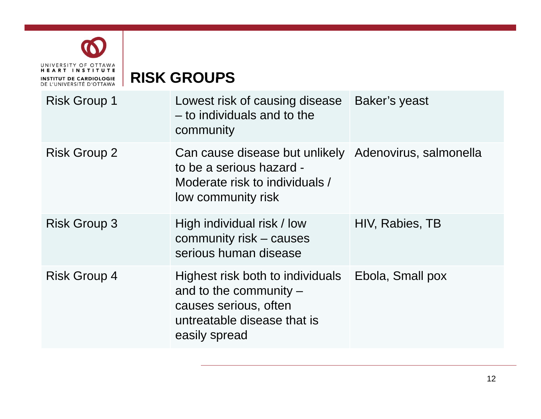

**RISK GROUPS GROUPS** 

| <b>Risk Group 1</b> | Lowest risk of causing disease<br>- to individuals and to the<br>community                                                                | Baker's yeast    |
|---------------------|-------------------------------------------------------------------------------------------------------------------------------------------|------------------|
| <b>Risk Group 2</b> | Can cause disease but unlikely Adenovirus, salmonella<br>to be a serious hazard -<br>Moderate risk to individuals /<br>low community risk |                  |
| <b>Risk Group 3</b> | High individual risk / low<br>community risk – causes<br>serious human disease                                                            | HIV, Rabies, TB  |
| <b>Risk Group 4</b> | Highest risk both to individuals<br>and to the community $-$<br>causes serious, often<br>untreatable disease that is<br>easily spread     | Ebola, Small pox |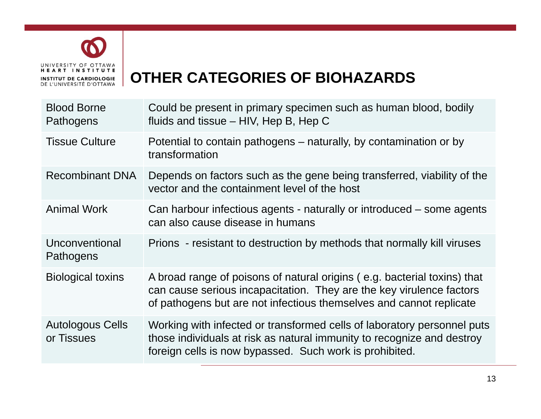

## **OTHER CATEGORIES OF BIOHAZARDS BIOHAZARDS**

| <b>Blood Borne</b><br>Pathogens       | Could be present in primary specimen such as human blood, bodily<br>fluids and tissue $-$ HIV, Hep B, Hep C                                                                                                             |
|---------------------------------------|-------------------------------------------------------------------------------------------------------------------------------------------------------------------------------------------------------------------------|
| <b>Tissue Culture</b>                 | Potential to contain pathogens – naturally, by contamination or by<br>transformation                                                                                                                                    |
| <b>Recombinant DNA</b>                | Depends on factors such as the gene being transferred, viability of the<br>vector and the containment level of the host                                                                                                 |
| <b>Animal Work</b>                    | Can harbour infectious agents - naturally or introduced – some agents<br>can also cause disease in humans                                                                                                               |
| Unconventional<br>Pathogens           | Prions - resistant to destruction by methods that normally kill viruses                                                                                                                                                 |
| <b>Biological toxins</b>              | A broad range of poisons of natural origins (e.g. bacterial toxins) that<br>can cause serious incapacitation. They are the key virulence factors<br>of pathogens but are not infectious themselves and cannot replicate |
| <b>Autologous Cells</b><br>or Tissues | Working with infected or transformed cells of laboratory personnel puts<br>those individuals at risk as natural immunity to recognize and destroy<br>foreign cells is now bypassed. Such work is prohibited.            |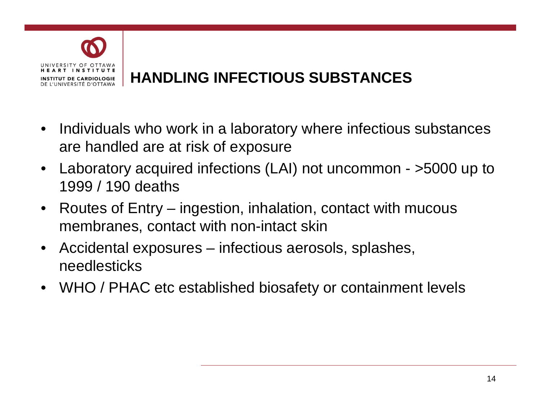

## **HANDLING INFECTIOUS SUBSTANCES SUBSTANCES**

- Individuals who work in a laboratory where infectious substances are handled are at risk of exposure
- Laboratory acquired infections (LAI) not uncommon >5000 up to 1999 / 190 deaths
- Routes of Entry ingestion, inhalation, contact with mucous membranes, contact with non-intact skin
- Accidental exposures infectious aerosols, splashes, needlesticks
- WHO / PHAC etc established biosafety or containment levels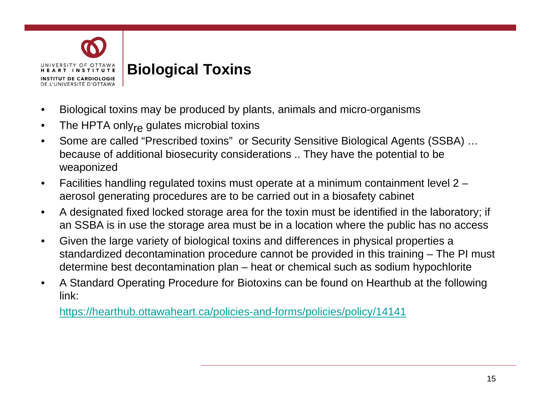

#### **Biological Toxins**

- Biological toxins may be produced by plants, animals and micro-organisms
- $\bullet$   $\;\;$  The HPTA only $_{\sf re}$  gulates microbial toxins
- Some are called "Prescribed toxins" or Security Sensitive Biological Agents (SSBA) … because of additional biosecurity considerations .. They have the potential to be weaponized
- Facilities handling regulated toxins must operate at a minimum containment level 2 aerosol generating procedures are to be carried out in a biosafety cabinet
- A designated fixed locked storage area for the toxin must be identified in the laboratory; if an SSBA is in use the storage area must be in a location where the public has no access
- Given the large variety of biological toxins and differences in physical properties a standardized decontamination procedure cannot be provided in this training – The PI must determine best decontamination plan – heat or chemical such as sodium hypochlorite
- A Standard Operating Procedure for Biotoxins can be found on Hearthub at the following link:

https://hearthub.ottawaheart.ca/policies-and-forms/policies/policy/14141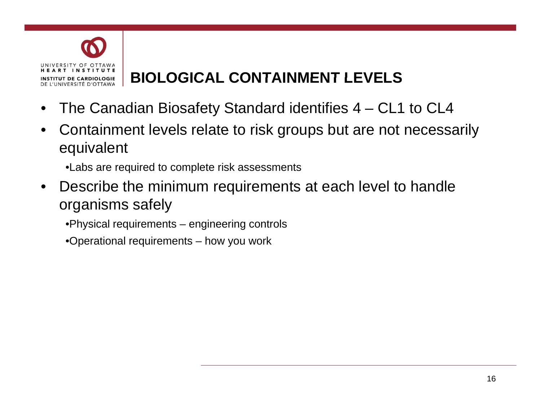

# **BIOLOGICAL CONTAINMENT LEVELS LEVELS**

- The Canadian Biosafety Standard identifies 4 CL1 to CL4
- Containment levels relate to risk groups but are not necessarily equivalent
	- •Labs are required to complete risk assessments
- Describe the minimum requirements at each level to handle organisms safely
	- •Physical requirements engineering controls
	- •Operational requirements how you work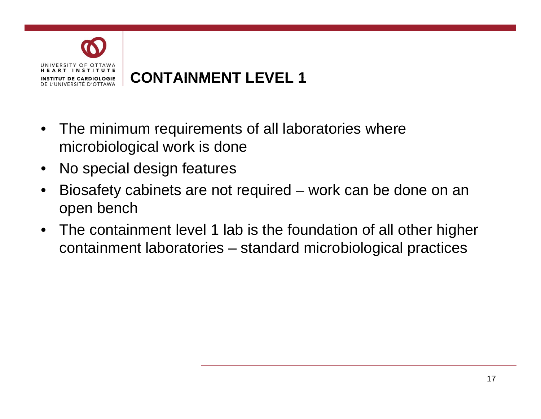

- The minimum requirements of all laboratories where microbiological work is done
- No special design features
- Biosafety cabinets are not required work can be done on an open bench
- The containment level 1 lab is the foundation of all other higher containment laboratories – standard microbiological practices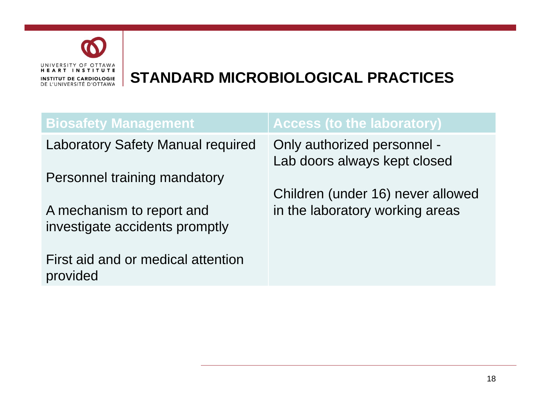

| <b>Access (to the laboratory)</b>                           |
|-------------------------------------------------------------|
| Only authorized personnel -<br>Lab doors always kept closed |
|                                                             |
| Children (under 16) never allowed                           |
| in the laboratory working areas                             |
|                                                             |
|                                                             |
|                                                             |
|                                                             |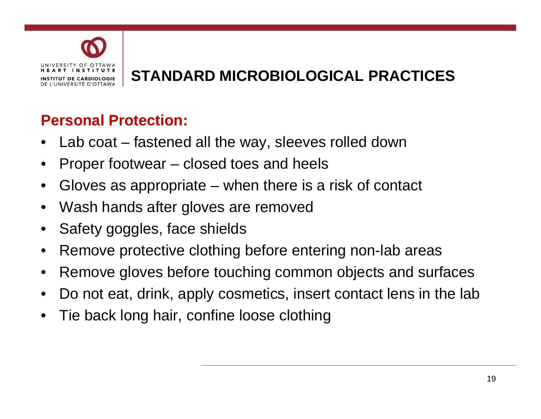

### **Personal Protection:**

- Lab coat fastened all the way, sleeves rolled down
- Proper footwear closed toes and heels
- Gloves as appropriate when there is a risk of contact
- Wash hands after gloves are removed
- Safety goggles, face shields
- Remove protective clothing before entering non-lab areas
- Remove gloves before touching common objects and surfaces
- Do not eat, drink, apply cosmetics, insert contact lens in the lab
- Tie back long hair, confine loose clothing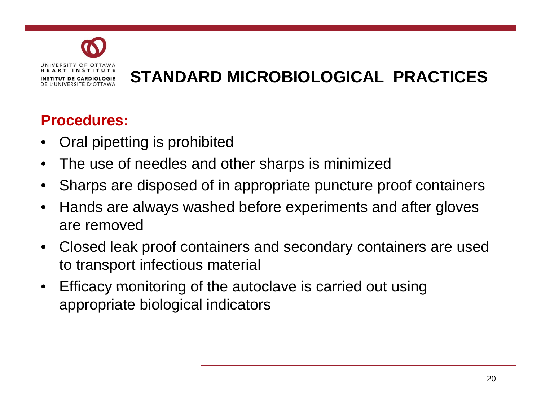

## **Procedures:**

- Oral pipetting is prohibited
- The use of needles and other sharps is minimized
- Sharps are disposed of in appropriate puncture proof containers
- Hands are always washed before experiments and after gloves are removed
- Closed leak proof containers and secondary containers are used to transport infectious material
- Efficacy monitoring of the autoclave is carried out using appropriate biological indicators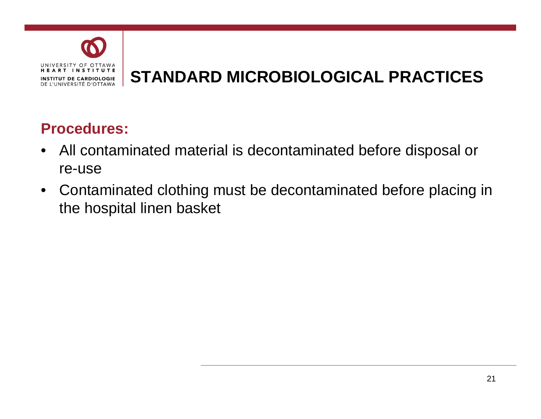

## **Procedures: Procedures:**

- All contaminated material is decontaminated before disposal or re-use
- Contaminated clothing must be decontaminated before placing in the hospital linen basket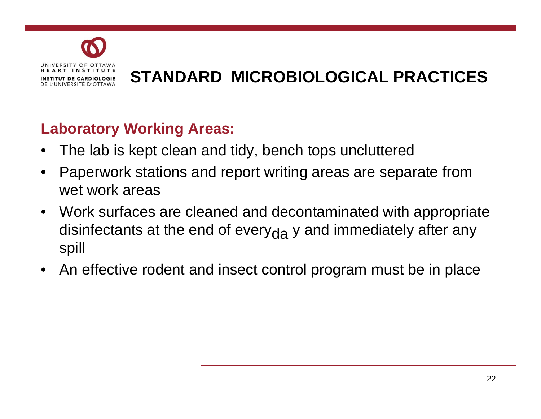

# **STANDARD STANDARD MICROBIOLOGICAL PRACTICES**

## **Laboratory Working Areas:**

- The lab is kept clean and tidy, bench tops uncluttered
- Paperwork stations and report writing areas are separate from wet work areas
- Work surfaces are cleaned and decontaminated with appropriate disinfectants at the end of every<sub>da</sub> y and immediately after any spill
- An effective rodent and insect control program must be in place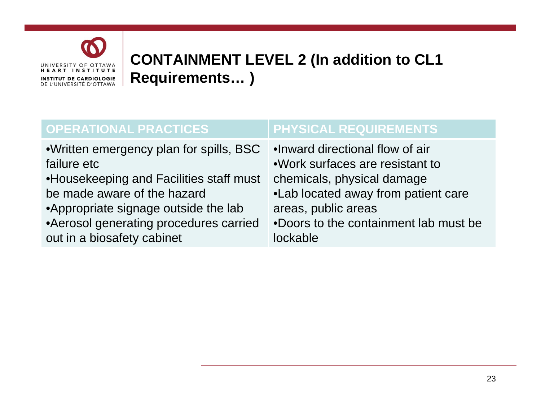

## **CONTAINMENT LEVEL 2 (In addition to CL1 Requirements ) Requirements… )**

| <b>OPERATIONAL PRACTICES</b>            | <b>PHYSICAL REQUIREMENTS</b>          |
|-----------------------------------------|---------------------------------------|
| •Written emergency plan for spills, BSC | .Inward directional flow of air       |
| failure etc                             | .Work surfaces are resistant to       |
| •Housekeeping and Facilities staff must | chemicals, physical damage            |
| be made aware of the hazard             | •Lab located away from patient care   |
| •Appropriate signage outside the lab    | areas, public areas                   |
| • Aerosol generating procedures carried | .Doors to the containment lab must be |
| out in a biosafety cabinet              | lockable                              |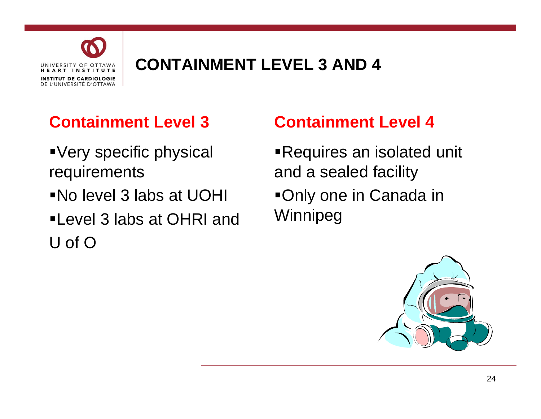

# **CONTAINMENT LEVEL 3 AND 4**

# **Containment Level 3**

- Very specific physical requirements
- No level 3 labs at UOHI
- Level 3 labs at OHRI and U of O

# **Containment Level 4**

Requires an isolated unit and a sealed facility Only one in Canada in Winnipeg

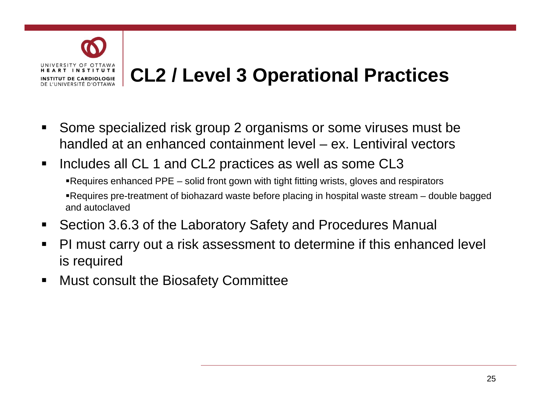

# **CL2 / Level 3 Operational Practices**

- $\blacksquare$ Some specialized risk group 2 organisms or some viruses must be handled at an enhanced containment level – ex. Lentiviral vectors
- $\blacksquare$  Includes all CL 1 and CL2 practices as well as some CL3
	- Requires enhanced PPE solid front gown with tight fitting wrists, gloves and respirators Requires pre-treatment of biohazard waste before placing in hospital waste stream – double bagged and autoclaved
- $\blacksquare$ Section 3.6.3 of the Laboratory Safety and Procedures Manual
- $\blacksquare$  PI must carry out a risk assessment to determine if this enhanced level is required
- $\blacksquare$ Must consult the Biosafety Committee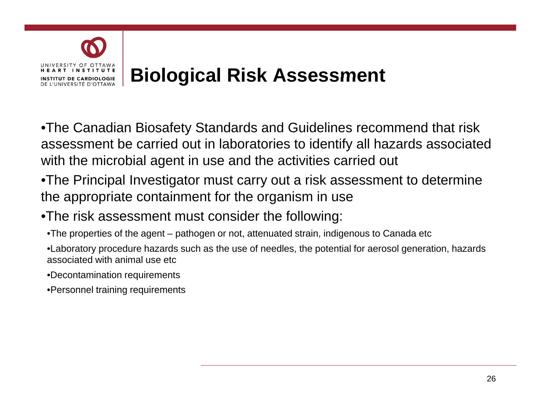

• The Canadian Biosafety Standards and Guidelines recommend that risk assessment be carried out in laboratories to identify all hazards associated with the microbial agent in use and the activities carried out

- $\bullet$ The Principal Investigator must carry out a risk assessment to determine the appropriate containment for the organism in use
- •The risk assessment must consider the following:
	- $\bullet$ The properties of the agent pathogen or not, attenuated strain, indigenous to Canada etc
	- •Laboratory procedure hazards such as the use of needles, the potential for aerosol generation, hazards associated with animal use etc
	- •Decontamination requirements
	- •Personnel training requirements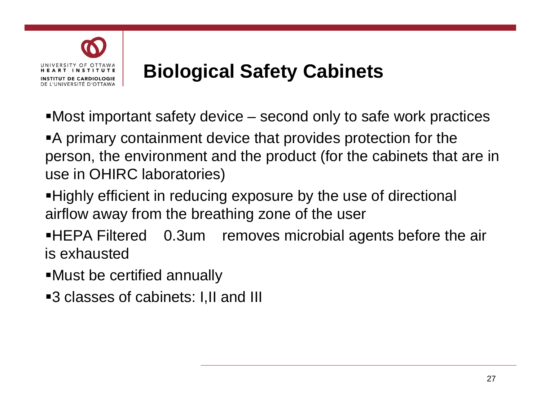

# **Biological Safety Cabinets Cabinets**

Most important safety device – second only to safe work practices

A primary containment device that provides protection for the person, the environment and the product (for the cabinets that are in use in OHIRC laboratories)

Highly efficient in reducing exposure by the use of directional airflow away from the breathing zone of the user

**HEPA Filtered** 0.3um removes microbial agents before the air is exhausted

- Must be certified annually
- **-3 classes of cabinets: I,II and III**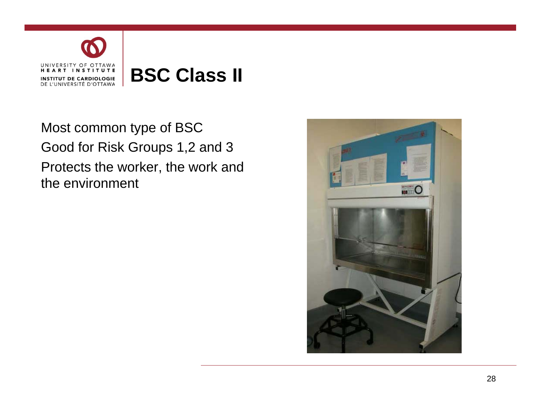

Most common type of BSC Good for Risk Groups 1,2 and 3 Protects the worker, the work and the environment

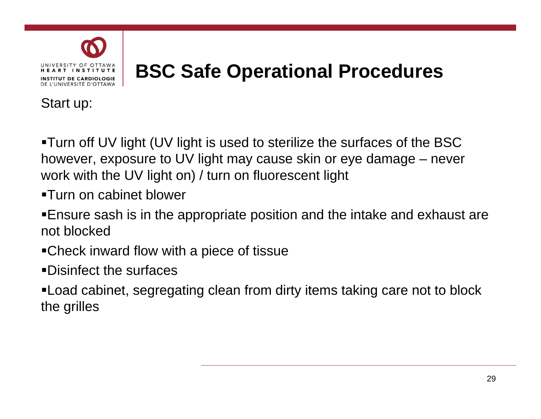

# **BSC Safe Operational Procedures**

Start up:

Turn off UV light (UV light is used to sterilize the surfaces of the BSC however, exposure to UV light may cause skin or eye damage – never work with the UV light on) / turn on fluorescent light

Turn on cabinet blower

Ensure sash is in the appropriate position and the intake and exhaust are not blocked

Check inward flow with a piece of tissue

Disinfect the surfaces

• Load cabinet, segregating clean from dirty items taking care not to block the grilles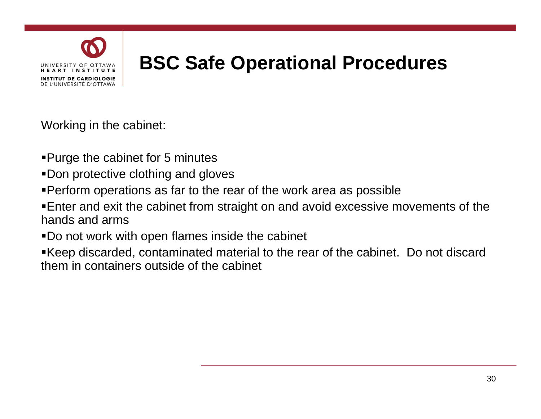

# **BSC Safe Operational Procedures**

Workin g in the cabinet:

- Purge the cabinet for 5 minutes
- Don protective clothing and gloves
- Perform operations as far to the rear of the work area as possible
- Enter and exit the cabinet from straight on and avoid excessive movements of the hands and arms
- . Do not work with open flames inside the cabinet
- Keep discarded, contaminated material to the rear of the cabinet. Do not discard them in containers outside of the cabinet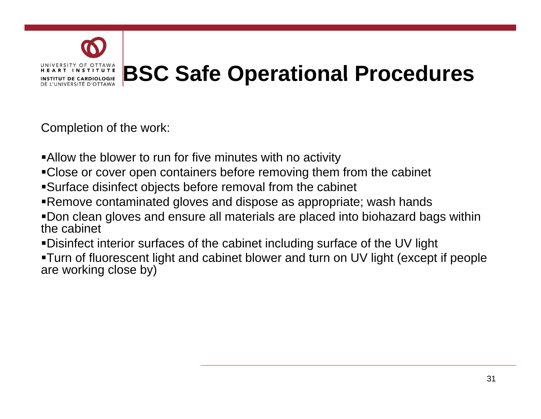

# **BSC Safe Operational Procedures**

Completion of the work:

- Allow the blower to run for five minutes with no activity
- Close or cover open containers before removing them from the cabinet
- Surface disinfect objects before removal from the cabinet
- Remove contaminated gloves and dispose as appropriate; wash hands
- Don clean gloves and ensure all materials are placed into biohazard bags within the cabinet
- Disinfect interior surfaces of the cabinet including surface of the UV light
- Turn of fluorescent light and cabinet blower and turn on UV light (except if people are working close by)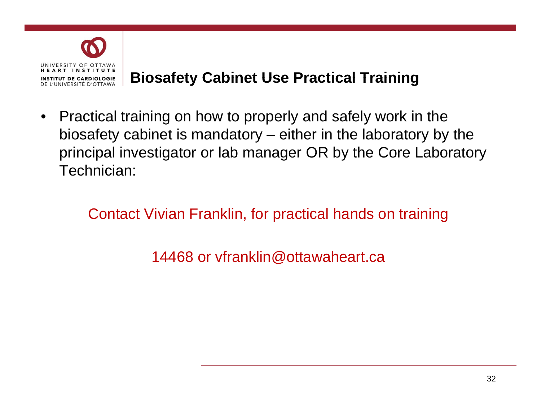

## **Biosafety Cabinet Use Practical Training**

• Practical training on how to properly and safely work in the biosafety cabinet is mandatory  $-$  either in the laboratory by the principal investigator or lab manager OR by the Core Laboratory Technician:

Contact Vivian Franklin, for practical hands on training

14468 or vfranklin@ottawaheart.ca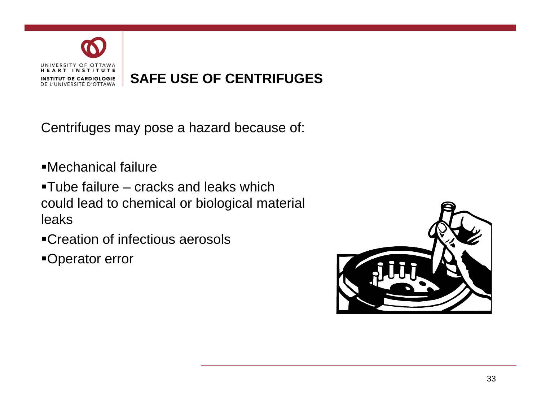

#### **SAFE USE OF CENTRIFUGES CENTRIFUGES**

Centrifuges may pose a hazard because of:

Mechanical failure

 $\textcolor{red}{\bullet}$ Tube failure – cracks and leaks which could lead to chemical or biological material leaks

 $\blacksquare$ Creation of infectious aerosols

Operator error

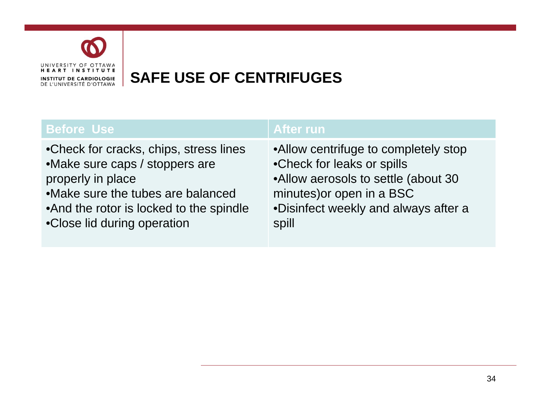

## **SAFE USE OF CENTRIFUGES OF CENTRIFUGES**

| <b>Before Use</b>                        | <b>After run</b>                     |
|------------------------------------------|--------------------------------------|
| • Check for cracks, chips, stress lines  | •Allow centrifuge to completely stop |
| •Make sure caps / stoppers are           | •Check for leaks or spills           |
| properly in place                        | •Allow aerosols to settle (about 30  |
| • Make sure the tubes are balanced       | minutes) or open in a BSC            |
| • And the rotor is locked to the spindle | •Disinfect weekly and always after a |
| •Close lid during operation              | spill                                |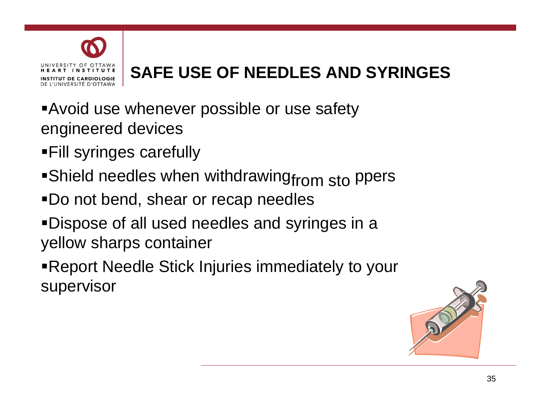

# **SAFE USE OF NEEDLES AND SYRINGES SYRINGES**

- Avoid use whenever possible or use safety engineered devices
- Fill syringes carefully
- $\textsf{\textbf{=}}$ Shield needles when withdrawing $_{\textsf{from} \; \textsf{sto}}$  ppers
- Do not bend, shear or recap needles
- Dispose of all used needles and syringes in a yellow sharps container
- Report Needle Stick Injuries immediately to your supervisor

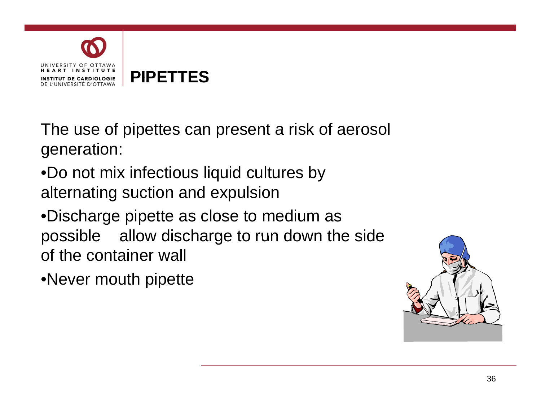

The use of pipettes can present a risk of aerosol generation:

•Do not mix infectious liquid cultures by alternating suction and expulsion

•Discharge pipette as close to medium as possible allow discharge to run down the side of the container wall

•Never mouth pipette

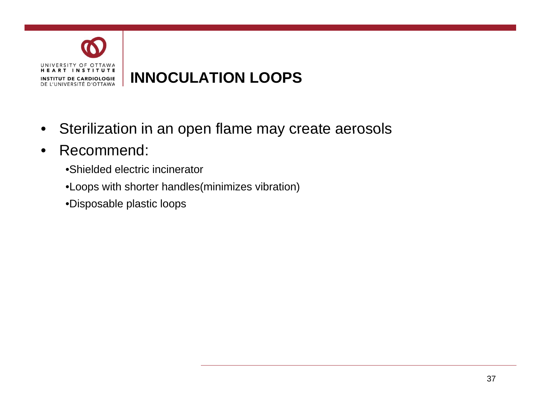

- Sterilization in an open flame may create aerosols
- Recommend:
	- •Shielded electric incinerator
	- •Loops with shorter handles(minimizes vibration)
	- •Disposable plastic loops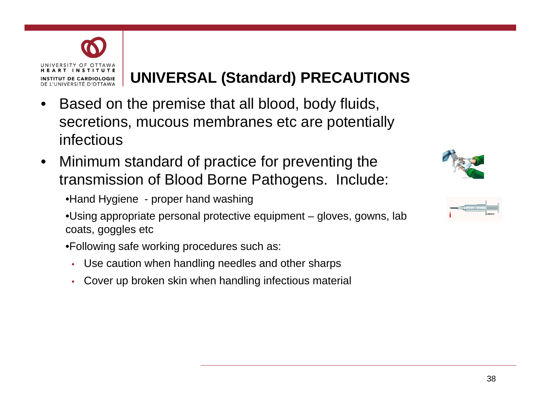

## **UNIVERSAL (Standard) PRECAUTIONS**

- Based on the premise that all blood, body fluids, secretions, mucous membranes etc are potentiall y infectious
- Minimum standard of practice for preventing the transmission of Blood Borne Pathogens. Include:



•Using appropriate personal protective equipment – gloves, gowns, lab coats, goggles etc

- •Following safe working procedures such as:
	- Use caution when handling needles and other sharps
	- Cover up broken skin when handling infectious material



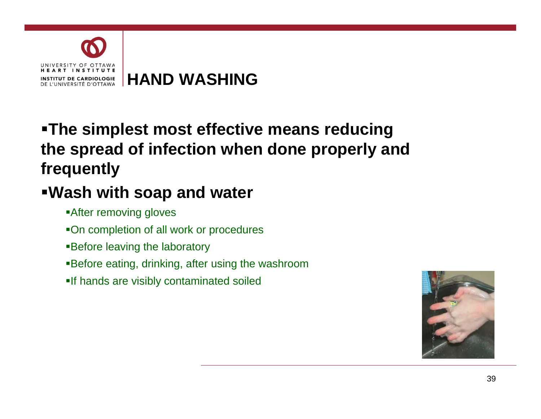

# **The simplest most effective means reducing reducing the spread of infection when done properly and frequently**

# **Wash with soap and water**

- After removing gloves
- On completion of all work or procedures
- **Before leaving the laboratory**
- Before eating, drinking, after using the washroom
- If hands are visibly contaminated soiled

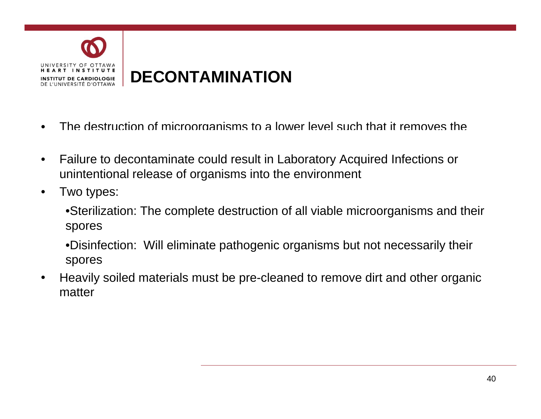

- The destruction of microorganisms to a lower level such that it removes the
- Failure to decontaminate could result in Laboratory Acquired Infections or unintentional release of organisms into the environment
- Two types:
	- •Sterilization: The complete destruction of all viable microorganisms and their spores
	- •Disinfection: Will eliminate pathogenic organisms but not necessarily their spores
- Heavily soiled materials must be pre-cleaned to remove dirt and other organic matter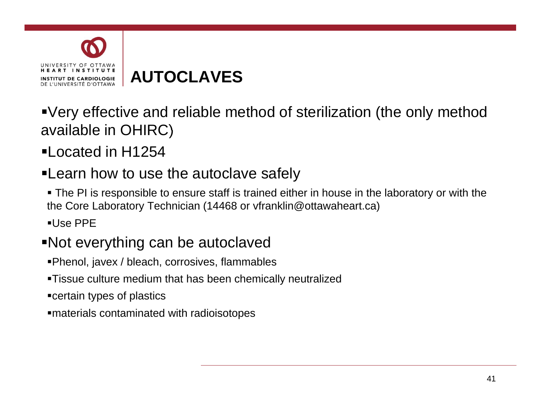

**AUTOCLAVES AUTOCLAVES** 

Very effective and reliable method of sterilization (the only method available in OHIRC)

Located in H1254

## **-Learn how to use the autoclave safely**

 The PI is responsible to ensure staff is trained either in house in the laboratory or with the the Core Laboratory Technician (14468 or vfranklin@ottawaheart.ca)

 $\blacksquare$ Use PPF

### Not everything can be autoclaved

- Phenol, javex / bleach, corrosives, flammables
- Tissue culture medium that has been chemically neutralized
- certain types of plastics
- materials contaminated with radioisotopes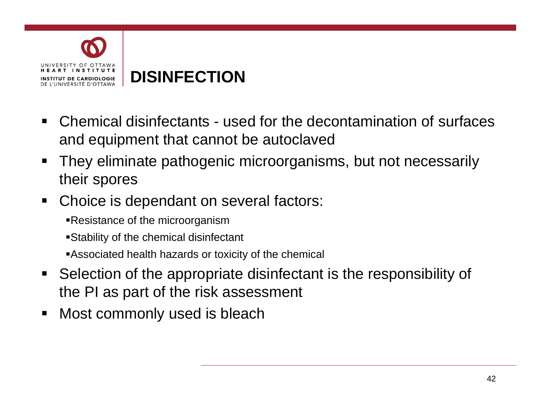

# **DISINFECTION DISINFECTION**

- $\blacksquare$  Chemical disinfectants - used for the decontamination of surfaces and equipment that cannot be autoclaved
- $\blacksquare$  They eliminate pathogenic microorganisms, but not necessarily their spores
- $\blacksquare$  Choice is dependant on several factors:
	- Resistance of the microorganism
	- $\blacksquare$ Stability of the chemical disinfectant
	- Associated health hazards or toxicity of the chemical
- $\blacksquare$  Selection of the appropriate disinfectant is the responsibility of the PI as part of the risk assessment
- $\blacksquare$ Most commonly used is bleach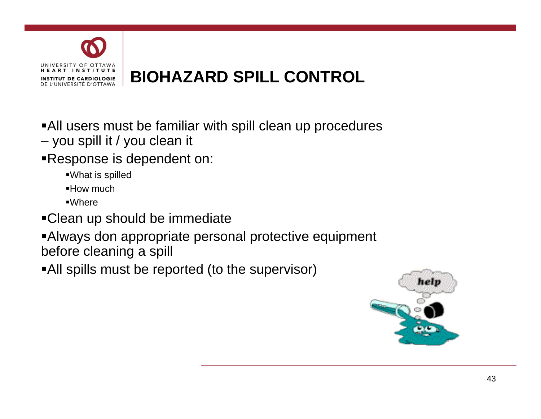

All users must be familiar with spill clean up procedures

- you spill it / you clean it
- Response is dependent on:
	- What is spilled
	- How much
	- Where
- Clean up should be immediate
- Always don appropriate personal protective equipment before cleaning a spill
- All spills must be reported (to the supervisor)

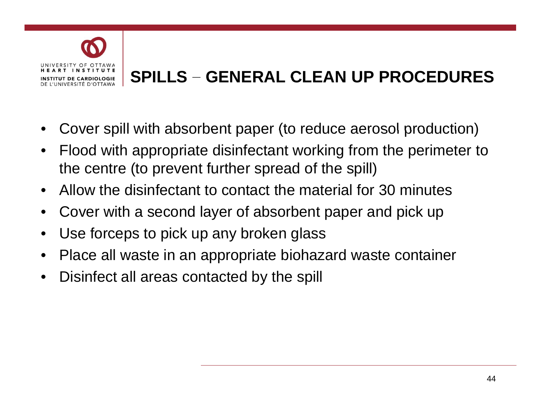

# **SPILLS – GENERAL CLEAN UP PROCEDURES**

- Cover spill with absorbent paper (to reduce aerosol production)
- Flood with appropriate disinfectant working from the perimeter to the centre (to prevent further spread of the spill)
- Allow the disinfectant to contact the material for 30 minutes
- Cover with a second layer of absorbent paper and pick up
- Use forceps to pick up any broken glass
- Place all waste in an appropriate biohazard waste container
- Disinfect all areas contacted by the spill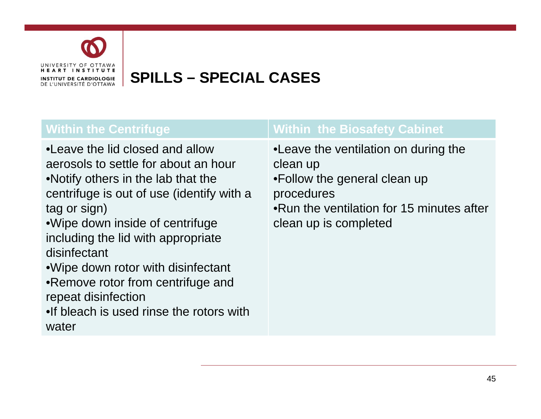

## **SPILLS – SPECIAL CASES**

| <b>Within the Centrifuge</b>                                                                                                                                                                                                                                                                                                                                                                                                  | <b>Within the Biosafety Cabinet</b>                                                                                                                                   |
|-------------------------------------------------------------------------------------------------------------------------------------------------------------------------------------------------------------------------------------------------------------------------------------------------------------------------------------------------------------------------------------------------------------------------------|-----------------------------------------------------------------------------------------------------------------------------------------------------------------------|
| • Leave the lid closed and allow<br>aerosols to settle for about an hour<br>•Notify others in the lab that the<br>centrifuge is out of use (identify with a<br>tag or sign)<br>.Wipe down inside of centrifuge<br>including the lid with appropriate<br>disinfectant<br>• Wipe down rotor with disinfectant<br>•Remove rotor from centrifuge and<br>repeat disinfection<br>. If bleach is used rinse the rotors with<br>water | • Leave the ventilation on during the<br>clean up<br>•Follow the general clean up<br>procedures<br>•Run the ventilation for 15 minutes after<br>clean up is completed |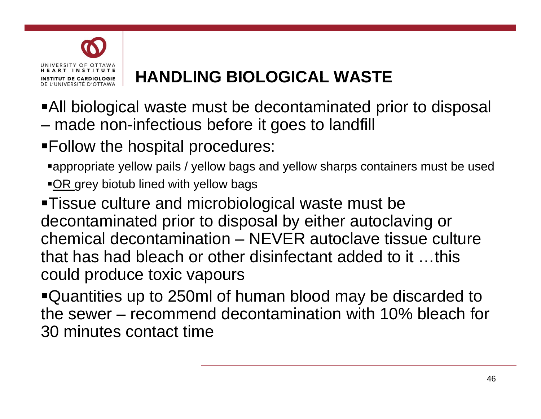

# **HANDLING BIOLOGICAL WASTE WASTE**

All biological waste must be decontaminated prior to disposal – made non-infectious before it goes to landfill

Follow the hospital procedures:

appropriate yellow pails / yellow bags and yellow sharps containers must be used

 $\overline{OR}$  grey biotub lined with yellow bags

Tissue culture and microbiological waste must be decontaminated prior to disposal by either autoclaving or chemical decontamination – NEVER autoclave tissue culture that has had bleach or other disinfectant added to it …this could produce toxic vapours

Quantities up to 250ml of human blood may be discarded to the sewer – recommend decontamination with 10% bleach for 30 minutes contact time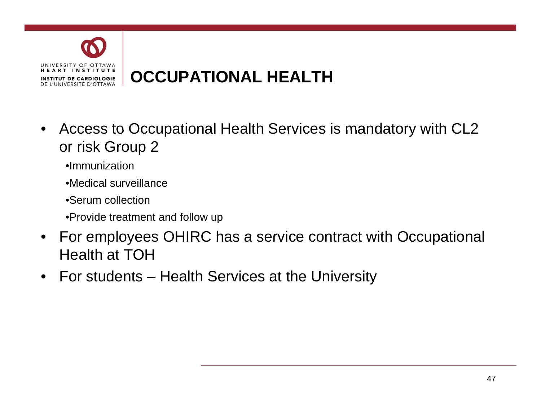

# **OCCUPATIONAL HEALTH HEALTH**

- Access to Occupational Health Services is mandatory with CL2 or risk Group 2
	- •Immunization
	- $\bullet$ Medical surveillance
	- •Serum collection
	- •Provide treatment and follow up
- For employees OHIRC has a service contract with Occupational Health at TOH
- For students Health Services at the University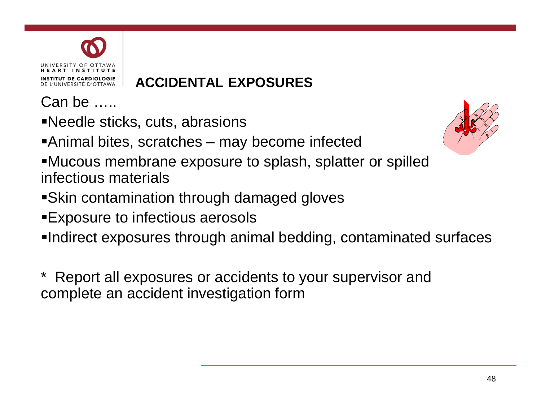

## **ACCIDENTAL EXPOSURES**

Can be …..

Needle sticks, cuts, abrasions

Animal bites, scratches – may become infected

- Mucous membrane exposure to splash, splatter or spilled infectious materials
- Skin contamination through damaged gloves
- Exposure to infectious aerosols
- Indirect exposures through animal bedding, contaminated surfaces

Report all exposures or accidents to your supervisor and complete an accident investigation form

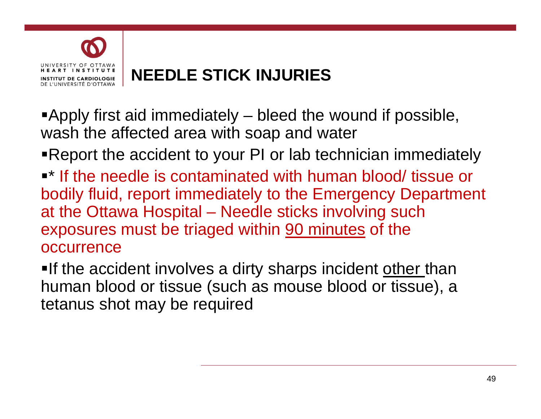

# **NEEDLE STICK INJURIES INJURIES**

Apply first aid immediately – bleed the wound if possible, wash the affected area with soap and water

Report the accident to your PI or lab technician immediately

 $\blacksquare^*$  If the needle is contaminated with human blood/ tissue or bodily fluid, report immediately to the Emergency Department at the Ottawa Hospital – Needle sticks involving such exposures must be triaged within <u>90 minutes</u> of the occurrence

**If the accident involves a dirty sharps incident other than** human blood or tissue (such as mouse blood or tissue), a tetanus shot may be required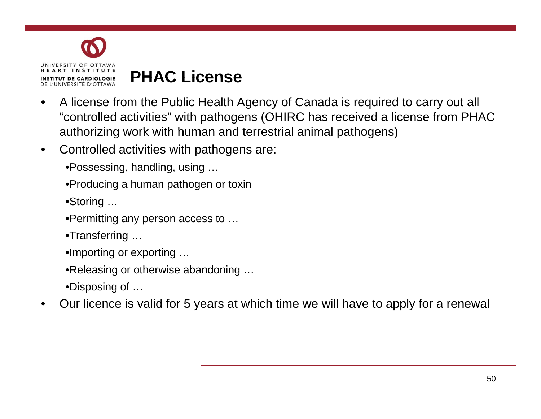

## **PHAC License License**

- A license from the Public Health Agency of Canada is required to carry out all "controlled activities" with pathogens (OHIRC has received a license from PHAC authorizing work with human and terrestrial animal pathogens)
- Controlled activities with pathogens are:
	- •Possessing, handling, using …
	- •Producing a human pathogen or toxin
	- •Storing …
	- •Permitting any person access to …
	- •Transferring …
	- •Importing or exporting …
	- •Releasing or otherwise abandoning …
	- •Disposing of …
- Our licence is valid for 5 years at which time we will have to apply for a renewal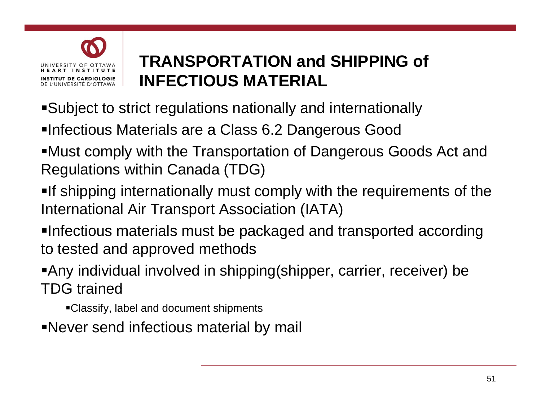

# **TRANSPORTATION and SHIPPING of**   $\blacksquare$  **INFECTIOUS MATERIAL**

- Subject to strict regulations nationally and internationally
- ■Infectious Materials are a Class 6.2 Dangerous Good
- Must comply with the Transportation of Dangerous Goods Act and Regulations within Canada (TDG)
- **If shipping internationally must comply with the requirements of the** International Air Transport Association (IATA)
- Infectious materials must be packaged and transported according to tested and approved methods
- Any individual involved in shipping(shipper, carrier, receiver) be TDG trained
	- Classify, label and document shipments
- Never send infectious material by mail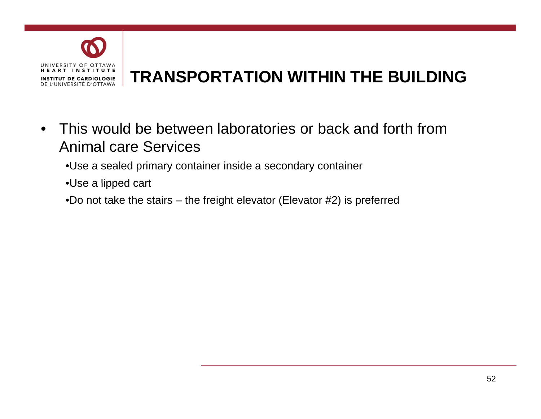

# **TRANSPORTATION WITHIN THE BUILDING BUILDING**

- This would be between laboratories or back and forth from Animal care Services
	- •Use a sealed primary container inside a secondary container
	- $\cdot$ Use a lipped cart
	- •Do not take the stairs the freight elevator (Elevator #2) is preferred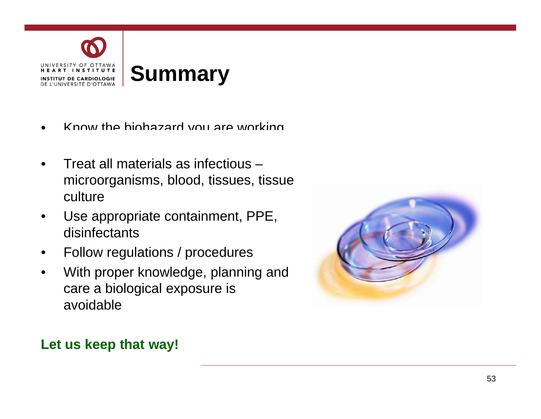

- Know the biohazard you are working
- Treat all materials as infectious microorganisms, blood, tissues, tissue culture
- Use appropriate containment, PPE, disinfectants
- Follow regulations / procedures
- With proper knowledge, planning and care a biological exposure is avoidable



#### **L t k th t ! Let us keep that way!**